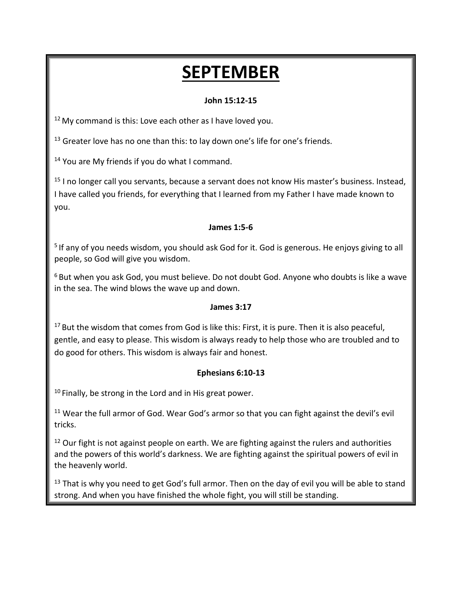# **SEPTEMBER**

### **John 15:12-15**

<sup>12</sup> My command is this: Love each other as I have loved you.

 $13$  Greater love has no one than this: to lay down one's life for one's friends.

<sup>14</sup> You are My friends if you do what I command.

<sup>15</sup> I no longer call you servants, because a servant does not know His master's business. Instead, I have called you friends, for everything that I learned from my Father I have made known to you.

#### **James 1:5-6**

<sup>5</sup> If any of you needs wisdom, you should ask God for it. God is generous. He enjoys giving to all people, so God will give you wisdom.

<sup>6</sup> But when you ask God, you must believe. Do not doubt God. Anyone who doubts is like a wave in the sea. The wind blows the wave up and down.

### **James 3:17**

 $17$  But the wisdom that comes from God is like this: First, it is pure. Then it is also peaceful, gentle, and easy to please. This wisdom is always ready to help those who are troubled and to do good for others. This wisdom is always fair and honest.

### **Ephesians 6:10-13**

 $10$  Finally, be strong in the Lord and in His great power.

<sup>11</sup> Wear the full armor of God. Wear God's armor so that you can fight against the devil's evil tricks.

<sup>12</sup> Our fight is not against people on earth. We are fighting against the rulers and authorities and the powers of this world's darkness. We are fighting against the spiritual powers of evil in the heavenly world.

 $13$  That is why you need to get God's full armor. Then on the day of evil you will be able to stand strong. And when you have finished the whole fight, you will still be standing.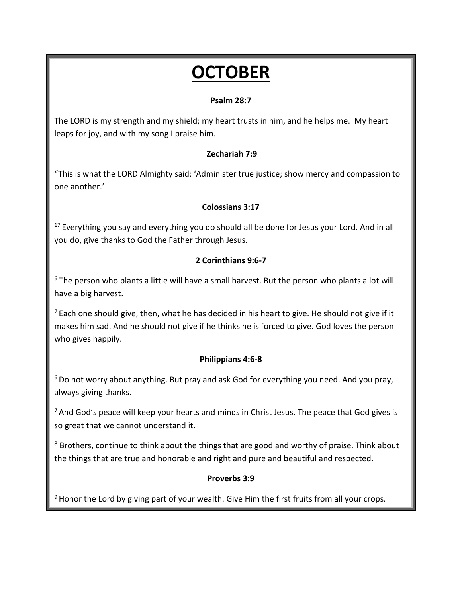# **OCTOBER**

### **Psalm 28:7**

The LORD is my strength and my shield; my heart trusts in him, and he helps me. My heart leaps for joy, and with my song I praise him.

### **Zechariah 7:9**

"This is what the LORD Almighty said: 'Administer true justice; show mercy and compassion to one another.'

### **Colossians 3:17**

 $17$  Everything you say and everything you do should all be done for Jesus your Lord. And in all you do, give thanks to God the Father through Jesus.

### **2 Corinthians 9:6-7**

<sup>6</sup> The person who plants a little will have a small harvest. But the person who plants a lot will have a big harvest.

 $<sup>7</sup>$  Each one should give, then, what he has decided in his heart to give. He should not give if it</sup> makes him sad. And he should not give if he thinks he is forced to give. God loves the person who gives happily.

### **Philippians 4:6-8**

 $6$  Do not worry about anything. But pray and ask God for everything you need. And you pray, always giving thanks.

<sup>7</sup> And God's peace will keep your hearts and minds in Christ Jesus. The peace that God gives is so great that we cannot understand it.

<sup>8</sup> Brothers, continue to think about the things that are good and worthy of praise. Think about the things that are true and honorable and right and pure and beautiful and respected.

#### **Proverbs 3:9**

 $9$  Honor the Lord by giving part of your wealth. Give Him the first fruits from all your crops.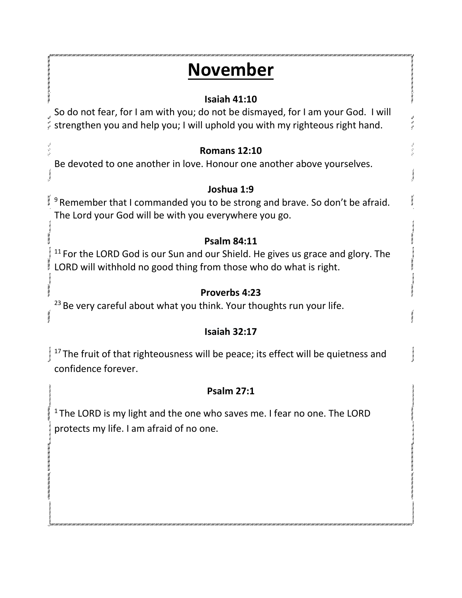# **November**

## **Isaiah 41:10**

So do not fear, for I am with you; do not be dismayed, for I am your God. I will strengthen you and help you; I will uphold you with my righteous right hand.

## **Romans 12:10**

Be devoted to one another in love. Honour one another above yourselves.

## **Joshua 1:9**

<sup>9</sup> Remember that I commanded you to be strong and brave. So don't be afraid. The Lord your God will be with you everywhere you go.

## **Psalm 84:11**

 $11$  For the LORD God is our Sun and our Shield. He gives us grace and glory. The LORD will withhold no good thing from those who do what is right.

## **Proverbs 4:23**

<sup>23</sup> Be very careful about what you think. Your thoughts run your life.

## **Isaiah 32:17**

 $17$ The fruit of that righteousness will be peace; its effect will be quietness and confidence forever.

## **Psalm 27:1**

 $1$ The LORD is my light and the one who saves me. I fear no one. The LORD protects my life. I am afraid of no one.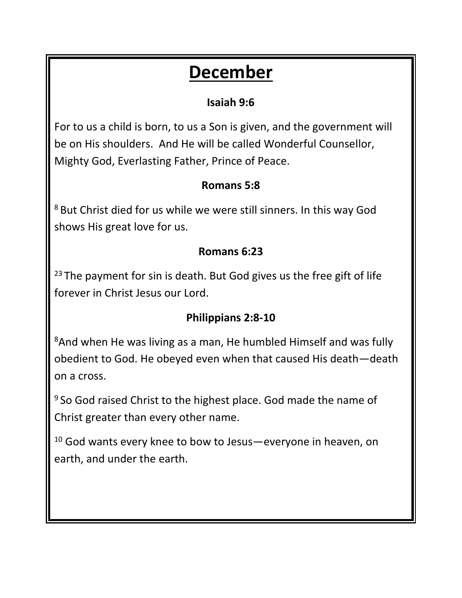# **December**

## **Isaiah 9:6**

For to us a child is born, to us a Son is given, and the government will be on His shoulders. And He will be called Wonderful Counsellor, Mighty God, Everlasting Father, Prince of Peace.

## **Romans 5:8**

<sup>8</sup> But Christ died for us while we were still sinners. In this way God shows His great love for us.

## **Romans 6:23**

 $23$  The payment for sin is death. But God gives us the free gift of life forever in Christ Jesus our Lord.

## **Philippians 2:8-10**

<sup>8</sup>And when He was living as a man, He humbled Himself and was fully obedient to God. He obeyed even when that caused His death—death on a cross.

<sup>9</sup> So God raised Christ to the highest place. God made the name of Christ greater than every other name.

<sup>10</sup> God wants every knee to bow to Jesus—everyone in heaven, on earth, and under the earth.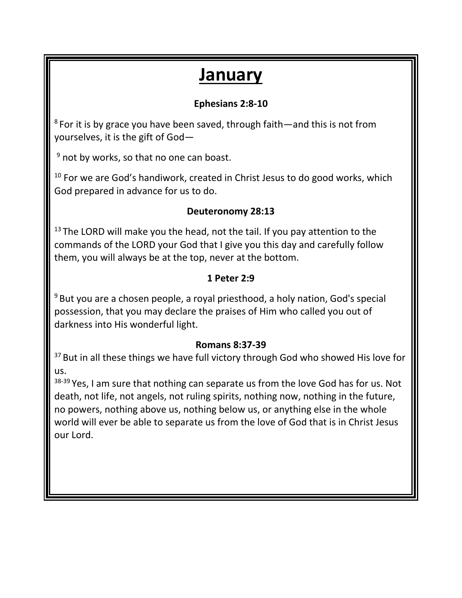# **January**

## **Ephesians 2:8-10**

 $8$  For it is by grace you have been saved, through faith—and this is not from yourselves, it is the gift of God—

 $9$  not by works, so that no one can boast.

<sup>10</sup> For we are God's handiwork, created in Christ Jesus to do good works, which God prepared in advance for us to do.

## **Deuteronomy 28:13**

<sup>13</sup> The LORD will make you the head, not the tail. If you pay attention to the commands of the LORD your God that I give you this day and carefully follow them, you will always be at the top, never at the bottom.

## **1 Peter 2:9**

 $9$ But you are a chosen people, a royal priesthood, a holy nation, God's special possession, that you may declare the praises of Him who called you out of darkness into His wonderful light.

### **Romans 8:37-39**

<sup>37</sup> But in all these things we have full victory through God who showed His love for us.

38-39 Yes, I am sure that nothing can separate us from the love God has for us. Not death, not life, not angels, not ruling spirits, nothing now, nothing in the future, no powers, nothing above us, nothing below us, or anything else in the whole world will ever be able to separate us from the love of God that is in Christ Jesus our Lord.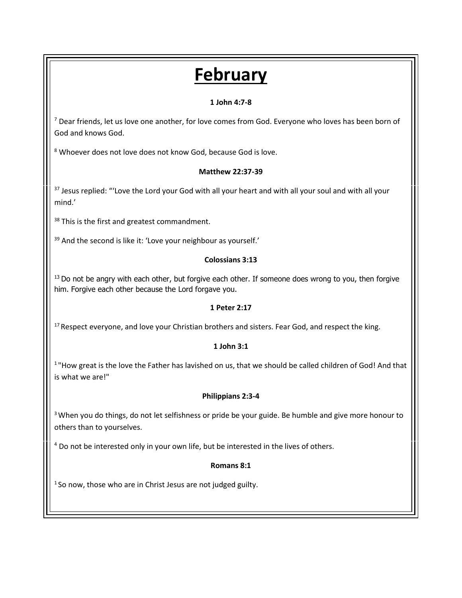# **February**

#### **1 John 4:7-8**

 $7$  Dear friends, let us love one another, for love comes from God. Everyone who loves has been born of God and knows God.

<sup>8</sup> Whoever does not love does not know God, because God is love.

#### **Matthew 22:37-39**

<sup>37</sup> Jesus replied: "'Love the Lord your God with all your heart and with all your soul and with all your mind.'

38 This is the first and greatest commandment.

<sup>39</sup> And the second is like it: 'Love your neighbour as yourself.'

#### **Colossians 3:13**

<sup>13</sup> Do not be angry with each other, but forgive each other. If someone does wrong to you, then forgive him. Forgive each other because the Lord forgave you.

#### **1 Peter 2:17**

<sup>17</sup> Respect everyone, and love your Christian brothers and sisters. Fear God, and respect the king.

#### **1 John 3:1**

<sup>1</sup>"How great is the love the Father has lavished on us, that we should be called children of God! And that is what we are!"

#### **Philippians 2:3-4**

<sup>3</sup> When you do things, do not let selfishness or pride be your guide. Be humble and give more honour to others than to yourselves.

<sup>4</sup> Do not be interested only in your own life, but be interested in the lives of others.

#### **Romans 8:1**

 $1$  So now, those who are in Christ Jesus are not judged guilty.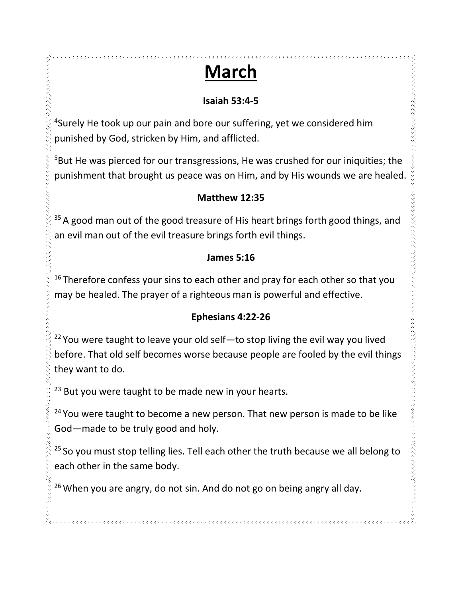# **March**

## **Isaiah 53:4-5**

くろくろくろくろうりつかくてくる。

きょうかんえんえん きょうこう

みんくん マント・マン ふくへん ションマンファック

<sup>4</sup>Surely He took up our pain and bore our suffering, yet we considered him punished by God, stricken by Him, and afflicted.

<sup>5</sup>But He was pierced for our transgressions, He was crushed for our iniquities; the punishment that brought us peace was on Him, and by His wounds we are healed.

## **Matthew 12:35**

 $35$  A good man out of the good treasure of His heart brings forth good things, and an evil man out of the evil treasure brings forth evil things.

### **James 5:16**

 $16$ Therefore confess your sins to each other and pray for each other so that you may be healed. The prayer of a righteous man is powerful and effective.

### **Ephesians 4:22-26**

 $22$  You were taught to leave your old self-to stop living the evil way you lived before. That old self becomes worse because people are fooled by the evil things they want to do.

 $23$  But you were taught to be made new in your hearts.

<sup>24</sup> You were taught to become a new person. That new person is made to be like God—made to be truly good and holy.

<sup>25</sup> So you must stop telling lies. Tell each other the truth because we all belong to each other in the same body.

 $26$  When you are angry, do not sin. And do not go on being angry all day.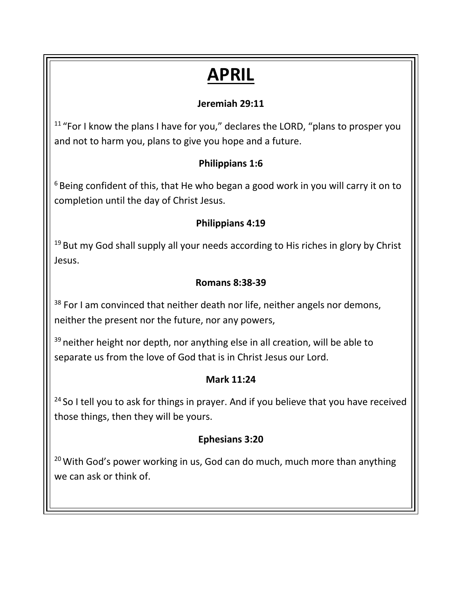# **APRIL**

## **Jeremiah 29:11**

<sup>11</sup> "For I know the plans I have for you," declares the LORD, "plans to prosper you and not to harm you, plans to give you hope and a future.

## **Philippians 1:6**

 $6$ Being confident of this, that He who began a good work in you will carry it on to completion until the day of Christ Jesus.

## **Philippians 4:19**

<sup>19</sup> But my God shall supply all your needs according to His riches in glory by Christ Jesus.

## **Romans 8:38-39**

<sup>38</sup> For I am convinced that neither death nor life, neither angels nor demons, neither the present nor the future, nor any powers,

 $39$  neither height nor depth, nor anything else in all creation, will be able to separate us from the love of God that is in Christ Jesus our Lord.

### **Mark 11:24**

<sup>24</sup> So I tell you to ask for things in prayer. And if you believe that you have received those things, then they will be yours.

### **Ephesians 3:20**

<sup>20</sup> With God's power working in us, God can do much, much more than anything we can ask or think of.